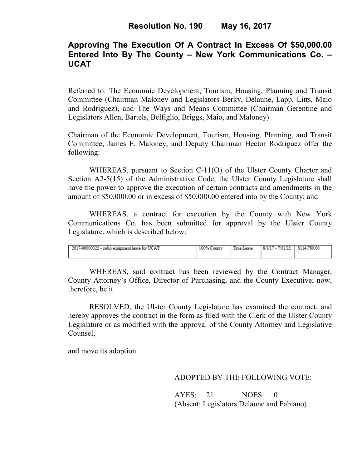# **Approving The Execution Of A Contract In Excess Of \$50,000.00 Entered Into By The County – New York Communications Co. – UCAT**

Referred to: The Economic Development, Tourism, Housing, Planning and Transit Committee (Chairman Maloney and Legislators Berky, Delaune, Lapp, Litts, Maio and Rodriguez), and The Ways and Means Committee (Chairman Gerentine and Legislators Allen, Bartels, Belfiglio, Briggs, Maio, and Maloney)

Chairman of the Economic Development, Tourism, Housing, Planning, and Transit Committee, James F. Maloney, and Deputy Chairman Hector Rodriguez offer the following:

WHEREAS, pursuant to Section C-11(O) of the Ulster County Charter and Section A2-5(15) of the Administrative Code, the Ulster County Legislature shall have the power to approve the execution of certain contracts and amendments in the amount of \$50,000.00 or in excess of \$50,000.00 entered into by the County; and

 WHEREAS, a contract for execution by the County with New York Communications Co. has been submitted for approval by the Ulster County Legislature, which is described below:

| 2017-00000322 - radio equipment lease for UCAT | 100% County | True Lease | 8/1/17 - 7/31/22 | \$114,780.00 |
|------------------------------------------------|-------------|------------|------------------|--------------|
|                                                |             |            |                  |              |
|                                                |             |            |                  |              |

WHEREAS, said contract has been reviewed by the Contract Manager, County Attorney's Office, Director of Purchasing, and the County Executive; now, therefore, be it

RESOLVED, the Ulster County Legislature has examined the contract, and hereby approves the contract in the form as filed with the Clerk of the Ulster County Legislature or as modified with the approval of the County Attorney and Legislative Counsel,

and move its adoption.

### ADOPTED BY THE FOLLOWING VOTE:

AYES: 21 NOES: 0 (Absent: Legislators Delaune and Fabiano)